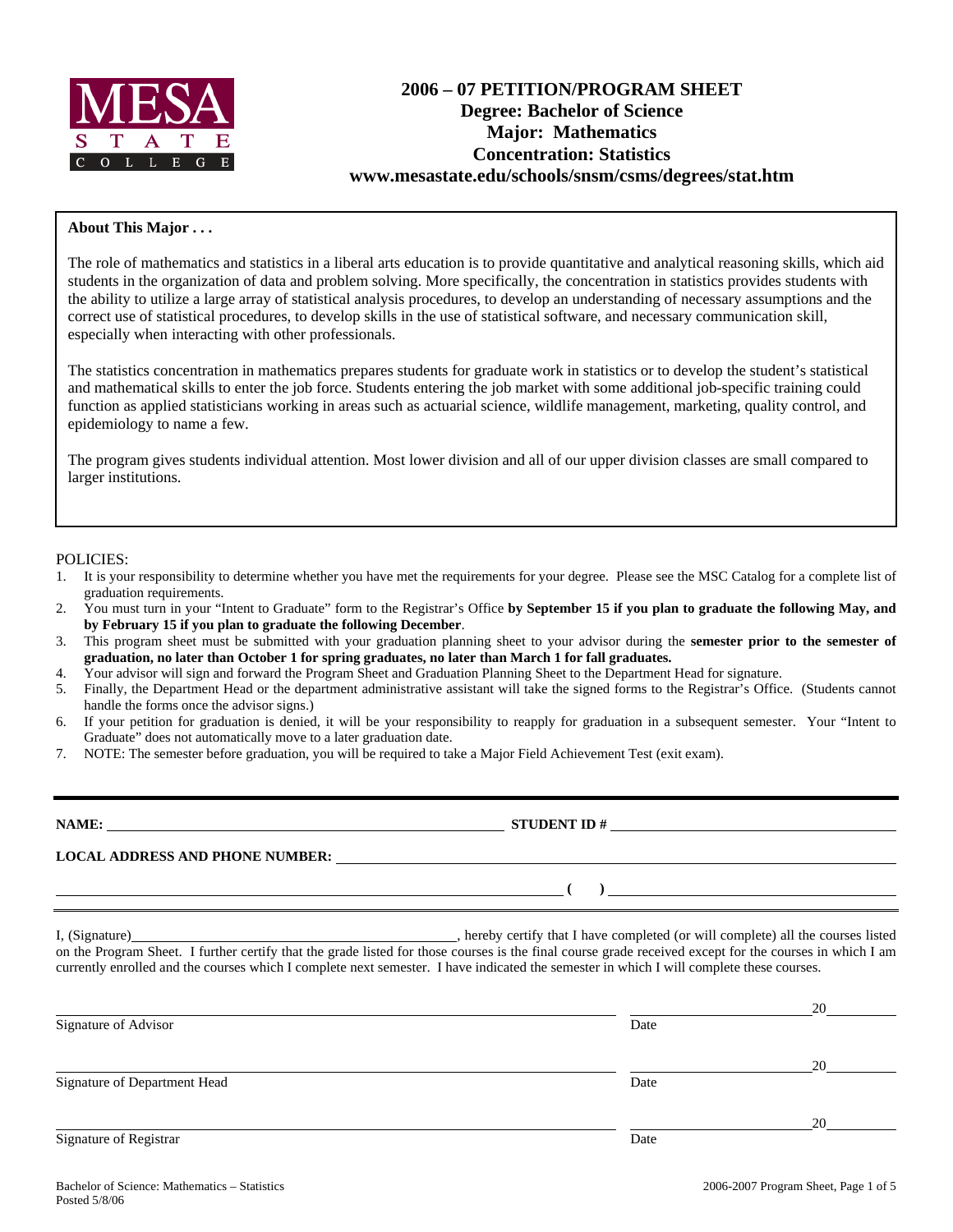

# **2006 – 07 PETITION/PROGRAM SHEET Degree: Bachelor of Science Major: Mathematics Concentration: Statistics www.mesastate.edu/schools/snsm/csms/degrees/stat.htm**

#### **About This Major . . .**

The role of mathematics and statistics in a liberal arts education is to provide quantitative and analytical reasoning skills, which aid students in the organization of data and problem solving. More specifically, the concentration in statistics provides students with the ability to utilize a large array of statistical analysis procedures, to develop an understanding of necessary assumptions and the correct use of statistical procedures, to develop skills in the use of statistical software, and necessary communication skill, especially when interacting with other professionals.

The statistics concentration in mathematics prepares students for graduate work in statistics or to develop the student's statistical and mathematical skills to enter the job force. Students entering the job market with some additional job-specific training could function as applied statisticians working in areas such as actuarial science, wildlife management, marketing, quality control, and epidemiology to name a few.

The program gives students individual attention. Most lower division and all of our upper division classes are small compared to larger institutions.

#### POLICIES:

- 1. It is your responsibility to determine whether you have met the requirements for your degree. Please see the MSC Catalog for a complete list of graduation requirements.
- 2. You must turn in your "Intent to Graduate" form to the Registrar's Office **by September 15 if you plan to graduate the following May, and by February 15 if you plan to graduate the following December**.
- 3. This program sheet must be submitted with your graduation planning sheet to your advisor during the **semester prior to the semester of graduation, no later than October 1 for spring graduates, no later than March 1 for fall graduates.**
- 4. Your advisor will sign and forward the Program Sheet and Graduation Planning Sheet to the Department Head for signature.
- 5. Finally, the Department Head or the department administrative assistant will take the signed forms to the Registrar's Office. (Students cannot handle the forms once the advisor signs.)
- 6. If your petition for graduation is denied, it will be your responsibility to reapply for graduation in a subsequent semester. Your "Intent to Graduate" does not automatically move to a later graduation date.
- 7. NOTE: The semester before graduation, you will be required to take a Major Field Achievement Test (exit exam).

**NAME: STUDENT ID #**

**LOCAL ADDRESS AND PHONE NUMBER:**

I, (Signature) , hereby certify that I have completed (or will complete) all the courses listed

 **( )** 

on the Program Sheet. I further certify that the grade listed for those courses is the final course grade received except for the courses in which I am currently enrolled and the courses which I complete next semester. I have indicated the semester in which I will complete these courses.

|                              |      | 20 |
|------------------------------|------|----|
| Signature of Advisor         | Date |    |
|                              |      | 20 |
| Signature of Department Head | Date |    |
|                              |      | 20 |
| Signature of Registrar       | Date |    |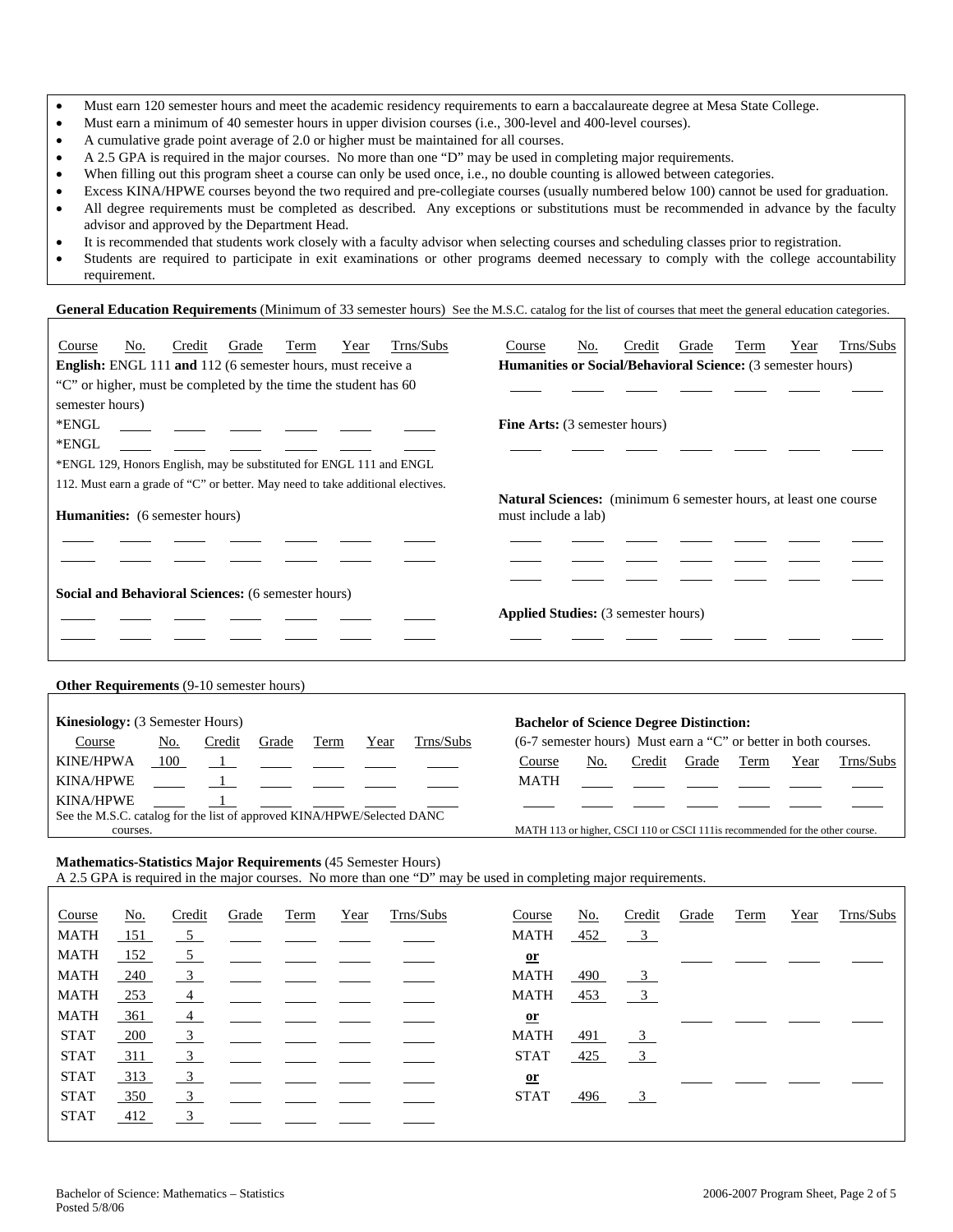- Must earn 120 semester hours and meet the academic residency requirements to earn a baccalaureate degree at Mesa State College.
- Must earn a minimum of 40 semester hours in upper division courses (i.e., 300-level and 400-level courses).
- A cumulative grade point average of 2.0 or higher must be maintained for all courses.
- A 2.5 GPA is required in the major courses. No more than one "D" may be used in completing major requirements.
- When filling out this program sheet a course can only be used once, i.e., no double counting is allowed between categories.
- Excess KINA/HPWE courses beyond the two required and pre-collegiate courses (usually numbered below 100) cannot be used for graduation.
- All degree requirements must be completed as described. Any exceptions or substitutions must be recommended in advance by the faculty advisor and approved by the Department Head.
- It is recommended that students work closely with a faculty advisor when selecting courses and scheduling classes prior to registration.
- Students are required to participate in exit examinations or other programs deemed necessary to comply with the college accountability requirement.

General Education Requirements (Minimum of 33 semester hours) See the M.S.C. catalog for the list of courses that meet the general education categories.

| Course                                                              | No. | Credit | Grade | Term | Year                                                                                           | Trns/Subs                                                                       | Course                                     | No. | Credit | Grade | Term | Year | Trns/Subs |
|---------------------------------------------------------------------|-----|--------|-------|------|------------------------------------------------------------------------------------------------|---------------------------------------------------------------------------------|--------------------------------------------|-----|--------|-------|------|------|-----------|
| English: ENGL 111 and 112 (6 semester hours, must receive a         |     |        |       |      |                                                                                                | <b>Humanities or Social/Behavioral Science:</b> (3 semester hours)              |                                            |     |        |       |      |      |           |
| "C" or higher, must be completed by the time the student has 60     |     |        |       |      |                                                                                                |                                                                                 |                                            |     |        |       |      |      |           |
| semester hours)                                                     |     |        |       |      |                                                                                                |                                                                                 |                                            |     |        |       |      |      |           |
| *ENGL                                                               |     |        |       |      |                                                                                                |                                                                                 | <b>Fine Arts:</b> (3 semester hours)       |     |        |       |      |      |           |
| *ENGL                                                               |     |        |       |      |                                                                                                |                                                                                 |                                            |     |        |       |      |      |           |
| *ENGL 129, Honors English, may be substituted for ENGL 111 and ENGL |     |        |       |      |                                                                                                |                                                                                 |                                            |     |        |       |      |      |           |
|                                                                     |     |        |       |      |                                                                                                | 112. Must earn a grade of "C" or better. May need to take additional electives. |                                            |     |        |       |      |      |           |
| <b>Humanities:</b> (6 semester hours)                               |     |        |       |      | <b>Natural Sciences:</b> (minimum 6 semester hours, at least one course<br>must include a lab) |                                                                                 |                                            |     |        |       |      |      |           |
|                                                                     |     |        |       |      |                                                                                                |                                                                                 |                                            |     |        |       |      |      |           |
|                                                                     |     |        |       |      |                                                                                                |                                                                                 |                                            |     |        |       |      |      |           |
|                                                                     |     |        |       |      |                                                                                                |                                                                                 |                                            |     |        |       |      |      |           |
| Social and Behavioral Sciences: (6 semester hours)                  |     |        |       |      |                                                                                                |                                                                                 |                                            |     |        |       |      |      |           |
|                                                                     |     |        |       |      |                                                                                                |                                                                                 | <b>Applied Studies:</b> (3 semester hours) |     |        |       |      |      |           |
|                                                                     |     |        |       |      |                                                                                                |                                                                                 |                                            |     |        |       |      |      |           |
|                                                                     |     |        |       |      |                                                                                                |                                                                                 |                                            |     |        |       |      |      |           |
| <b>Other Requirements (9-10 semester hours)</b>                     |     |        |       |      |                                                                                                |                                                                                 |                                            |     |        |       |      |      |           |
|                                                                     |     |        |       |      |                                                                                                |                                                                                 |                                            |     |        |       |      |      |           |

| <b>Kinesiology:</b> (3 Semester Hours)                                  |     |        |       |      |      |                                                                                                 |                                                                               |     |        | <b>Bachelor of Science Degree Distinction:</b>                                                                            |      |      |           |
|-------------------------------------------------------------------------|-----|--------|-------|------|------|-------------------------------------------------------------------------------------------------|-------------------------------------------------------------------------------|-----|--------|---------------------------------------------------------------------------------------------------------------------------|------|------|-----------|
| Course                                                                  | No. | Credit | Grade | Term | Year | Trns/Subs                                                                                       | (6-7 semester hours) Must earn a "C" or better in both courses.               |     |        |                                                                                                                           |      |      |           |
| <b>KINE/HPWA</b>                                                        | 100 |        |       |      |      | $\frac{1}{\sqrt{2}}$ and $\frac{1}{\sqrt{2}}$ and $\frac{1}{\sqrt{2}}$ and $\frac{1}{\sqrt{2}}$ | Course                                                                        | No. | Credit | Grade                                                                                                                     | Term | Year | Trns/Subs |
| <b>KINA/HPWE</b>                                                        |     |        |       |      |      |                                                                                                 | <b>MATH</b>                                                                   |     |        | <u> 1990 - Jan James James III, meng</u> ali pada 1991 - Pada 1991 - Pada 2001 - Pada 2001 - Pada 2001 - Pada 2001 - Pada |      |      |           |
| <b>KINA/HPWE</b>                                                        |     |        |       |      |      |                                                                                                 |                                                                               |     |        |                                                                                                                           |      |      |           |
| See the M.S.C. catalog for the list of approved KINA/HPWE/Selected DANC |     |        |       |      |      |                                                                                                 |                                                                               |     |        |                                                                                                                           |      |      |           |
| courses.                                                                |     |        |       |      |      |                                                                                                 | MATH 113 or higher, CSCI 110 or CSCI 111 is recommended for the other course. |     |        |                                                                                                                           |      |      |           |

#### **Mathematics-Statistics Major Requirements** (45 Semester Hours)

A 2.5 GPA is required in the major courses. No more than one "D" may be used in completing major requirements.

| Course      | <u>No.</u> | Credit                    | Grade | Term | Year | Trns/Subs | Course       | <u>No.</u> | Credit                    | Grade | Term | Year | Trns/Subs |
|-------------|------------|---------------------------|-------|------|------|-----------|--------------|------------|---------------------------|-------|------|------|-----------|
| MATH        | 151        | $-5$                      |       |      |      |           | <b>MATH</b>  | 452        | $\overline{\phantom{0}3}$ |       |      |      |           |
| MATH        | 152        | 5 <sup>5</sup>            |       |      |      |           | $or$         |            |                           |       |      |      |           |
| MATH        | 240        | $\frac{3}{2}$             |       |      |      |           | <b>MATH</b>  | 490        | $\frac{3}{2}$             |       |      |      |           |
| MATH        | 253        | $\frac{4}{ }$             |       |      |      |           | <b>MATH</b>  | 453        | $\frac{3}{2}$             |       |      |      |           |
| MATH        | $-361$     | $\overline{4}$            |       |      |      |           | $\mathbf{r}$ |            |                           |       |      |      |           |
| <b>STAT</b> | 200        | $\overline{\phantom{0}3}$ |       |      |      |           | <b>MATH</b>  | 491        | $\overline{\phantom{0}3}$ |       |      |      |           |
| <b>STAT</b> | 311        | $\frac{3}{2}$             |       |      |      |           | <b>STAT</b>  | 425        | $\overline{3}$            |       |      |      |           |
| <b>STAT</b> | 313        | $\frac{3}{2}$             |       |      |      |           | $\mathbf{r}$ |            |                           |       |      |      |           |
| <b>STAT</b> | 350        | $\overline{\phantom{0}3}$ |       |      |      |           | <b>STAT</b>  | 496        | $\overline{\phantom{0}3}$ |       |      |      |           |
| <b>STAT</b> | 412        | 3                         |       |      |      |           |              |            |                           |       |      |      |           |
|             |            |                           |       |      |      |           |              |            |                           |       |      |      |           |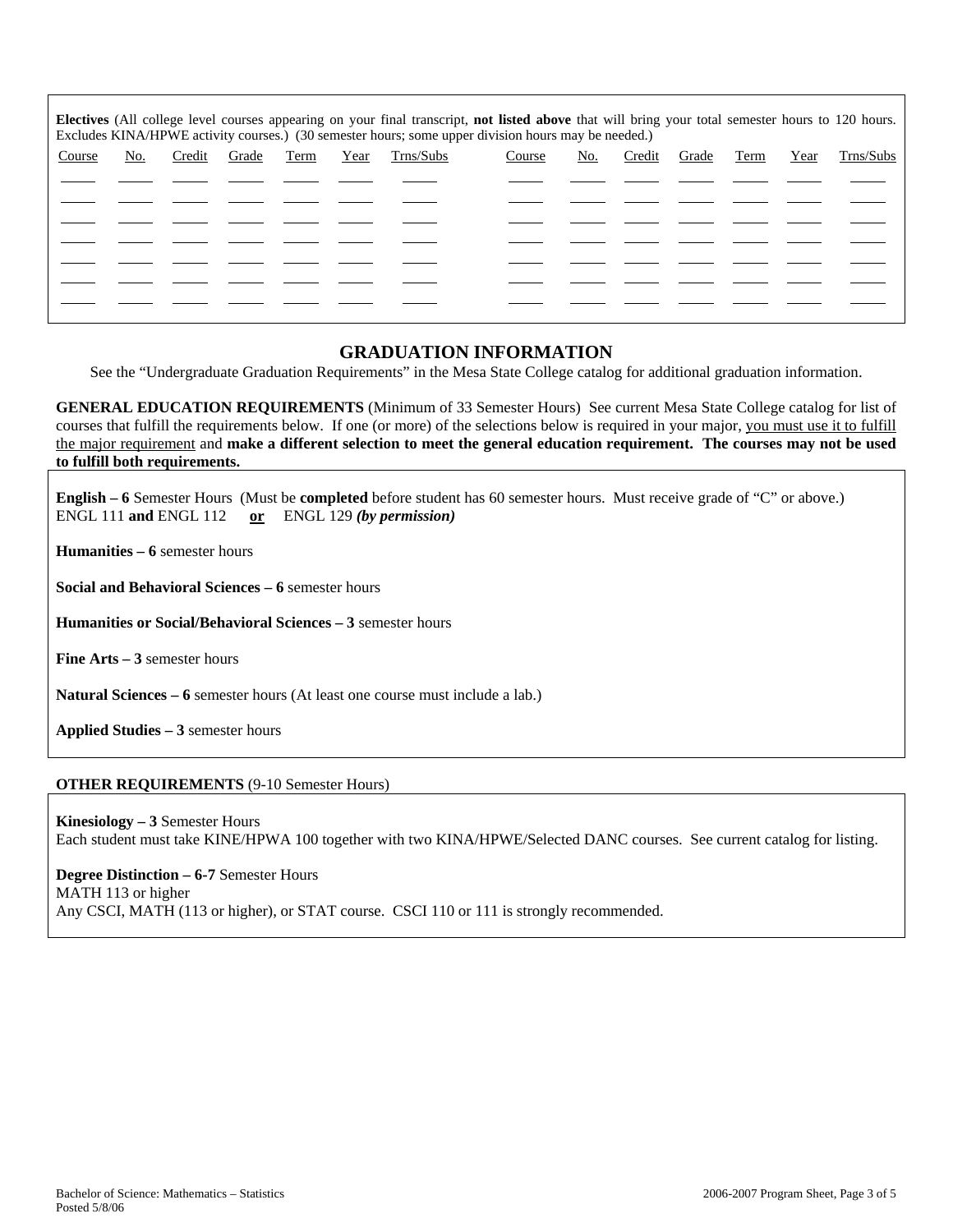| Electives (All college level courses appearing on your final transcript, not listed above that will bring your total semester hours to 120 hours.<br>Excludes KINA/HPWE activity courses.) (30 semester hours; some upper division hours may be needed.) |     |        |       |      |      |           |        |     |        |       |      |      |           |
|----------------------------------------------------------------------------------------------------------------------------------------------------------------------------------------------------------------------------------------------------------|-----|--------|-------|------|------|-----------|--------|-----|--------|-------|------|------|-----------|
| Course                                                                                                                                                                                                                                                   | No. | Credit | Grade | Term | Year | Trns/Subs | Course | No. | Credit | Grade | Term | Year | Trns/Subs |
|                                                                                                                                                                                                                                                          |     |        |       |      |      |           |        |     |        |       |      |      |           |
|                                                                                                                                                                                                                                                          |     |        |       |      |      |           |        |     |        |       |      |      |           |
|                                                                                                                                                                                                                                                          |     |        |       |      |      |           |        |     |        |       |      |      |           |
|                                                                                                                                                                                                                                                          |     |        |       |      |      |           |        |     |        |       |      |      |           |
|                                                                                                                                                                                                                                                          |     |        |       |      |      |           |        |     |        |       |      |      |           |
|                                                                                                                                                                                                                                                          |     |        |       |      |      |           |        |     |        |       |      |      |           |
|                                                                                                                                                                                                                                                          |     |        |       |      |      |           |        |     |        |       |      |      |           |

## **GRADUATION INFORMATION**

See the "Undergraduate Graduation Requirements" in the Mesa State College catalog for additional graduation information.

**GENERAL EDUCATION REQUIREMENTS** (Minimum of 33 Semester Hours) See current Mesa State College catalog for list of courses that fulfill the requirements below. If one (or more) of the selections below is required in your major, you must use it to fulfill the major requirement and **make a different selection to meet the general education requirement. The courses may not be used to fulfill both requirements.**

**English – 6** Semester Hours (Must be **completed** before student has 60 semester hours. Must receive grade of "C" or above.) ENGL 111 **and** ENGL 112 **or** ENGL 129 *(by permission)*

**Humanities – 6** semester hours

**Social and Behavioral Sciences – 6** semester hours

**Humanities or Social/Behavioral Sciences – 3** semester hours

**Fine Arts – 3** semester hours

**Natural Sciences – 6** semester hours (At least one course must include a lab.)

**Applied Studies – 3** semester hours

#### **OTHER REQUIREMENTS** (9-10 Semester Hours)

**Kinesiology – 3** Semester Hours Each student must take KINE/HPWA 100 together with two KINA/HPWE/Selected DANC courses. See current catalog for listing.

**Degree Distinction – 6-7** Semester Hours MATH 113 or higher Any CSCI, MATH (113 or higher), or STAT course. CSCI 110 or 111 is strongly recommended.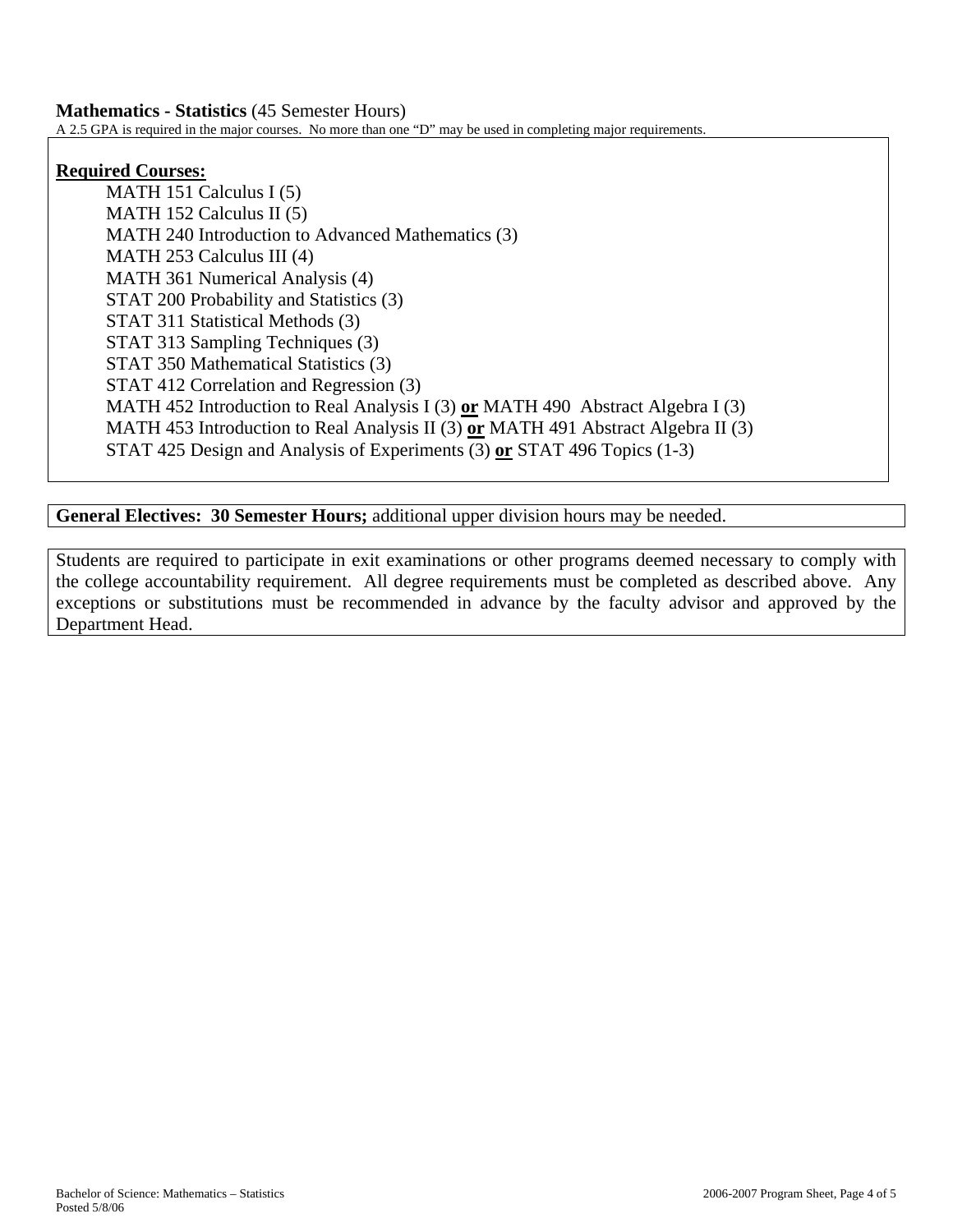# **Mathematics - Statistics** (45 Semester Hours)

A 2.5 GPA is required in the major courses. No more than one "D" may be used in completing major requirements.

## **Required Courses:**

MATH 151 Calculus I (5) MATH 152 Calculus II (5) MATH 240 Introduction to Advanced Mathematics (3) MATH 253 Calculus III (4) MATH 361 Numerical Analysis (4) STAT 200 Probability and Statistics (3) STAT 311 Statistical Methods (3) STAT 313 Sampling Techniques (3) STAT 350 Mathematical Statistics (3) STAT 412 Correlation and Regression (3) MATH 452 Introduction to Real Analysis I (3) **or** MATH 490 Abstract Algebra I (3) MATH 453 Introduction to Real Analysis II (3) **or** MATH 491 Abstract Algebra II (3) STAT 425 Design and Analysis of Experiments (3) **or** STAT 496 Topics (1-3)

**General Electives: 30 Semester Hours;** additional upper division hours may be needed.

Students are required to participate in exit examinations or other programs deemed necessary to comply with the college accountability requirement. All degree requirements must be completed as described above. Any exceptions or substitutions must be recommended in advance by the faculty advisor and approved by the Department Head.